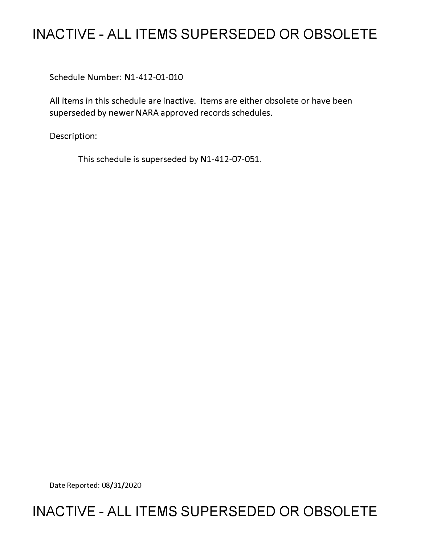# **INACTIVE - ALL ITEMS SUPERSEDED OR OBSOLETE**

Schedule Number: Nl-412-01-010

All items in this schedule are inactive. Items are either obsolete or have been superseded by newer NARA approved records schedules.

Description:

This schedule is superseded by N1-412-07-051.

Date Reported: 08/31/2020

# **INACTIVE - ALL ITEMS SUPERSEDED OR OBSOLETE**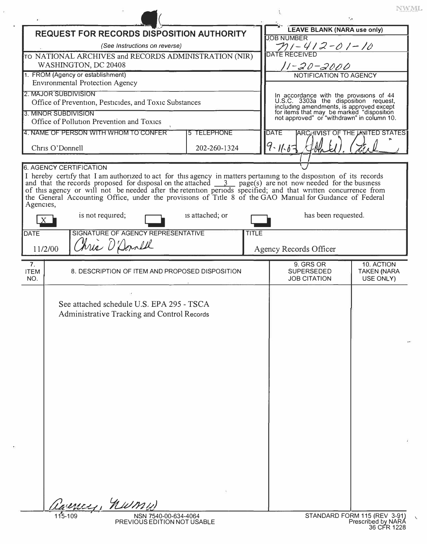| <b>LEAVE BLANK (NARA use only)</b><br><b>REQUEST FOR RECORDS DISPOSITION AUTHORITY</b><br><b>JOB NUMBER</b><br>TII – 4 I 2 – 0 I – I 0<br>(See Instructions on reverse)<br>TO NATIONAL ARCHIVES and RECORDS ADMINISTRATION (NIR)<br>WASHINGTON, DC 20408<br>11-20-2000<br>1. FROM (Agency or establishment)<br>NOTIFICATION TO AGENCY<br><b>Environmental Protection Agency</b><br>2. MAJOR SUBDIVISION<br>In accordance with the provisions of 44<br>U.S.C. 3303a the disposition request,<br>including amendments, is approved except<br>for items that may be marked "disposition<br>not approved" or "withdrawn" in column 10.<br>Office of Prevention, Pesticides, and Toxic Substances<br>3. MINOR SUBDIVISION<br>Office of Pollution Prevention and Toxics<br>4. NAME OF PERSON WITH WHOM TO CONFER<br><b>5 TELEPHONE</b><br><b>DATE</b><br><b>ARCHIVIST OF THE LINITED STATES</b><br>9.167<br>Chris O'Donnell<br>202-260-1324<br><b>6. AGENCY CERTIFICATION</b> |                                 |
|-------------------------------------------------------------------------------------------------------------------------------------------------------------------------------------------------------------------------------------------------------------------------------------------------------------------------------------------------------------------------------------------------------------------------------------------------------------------------------------------------------------------------------------------------------------------------------------------------------------------------------------------------------------------------------------------------------------------------------------------------------------------------------------------------------------------------------------------------------------------------------------------------------------------------------------------------------------------------|---------------------------------|
|                                                                                                                                                                                                                                                                                                                                                                                                                                                                                                                                                                                                                                                                                                                                                                                                                                                                                                                                                                         |                                 |
|                                                                                                                                                                                                                                                                                                                                                                                                                                                                                                                                                                                                                                                                                                                                                                                                                                                                                                                                                                         |                                 |
|                                                                                                                                                                                                                                                                                                                                                                                                                                                                                                                                                                                                                                                                                                                                                                                                                                                                                                                                                                         |                                 |
|                                                                                                                                                                                                                                                                                                                                                                                                                                                                                                                                                                                                                                                                                                                                                                                                                                                                                                                                                                         |                                 |
|                                                                                                                                                                                                                                                                                                                                                                                                                                                                                                                                                                                                                                                                                                                                                                                                                                                                                                                                                                         |                                 |
|                                                                                                                                                                                                                                                                                                                                                                                                                                                                                                                                                                                                                                                                                                                                                                                                                                                                                                                                                                         |                                 |
| I hereby certify that I am authorized to act for this agency in matters pertaining to the disposition of its records<br>and that the records proposed for disposal on the attached $\frac{3}{2}$ page(s) are not now needed for the<br>of this agency or will not be needed after the retention periods specified; and that written concurrence from<br>the General Accounting Office, under the provisions of Title 8 of the GAO Manual for Guidance of Federal<br>Agencies,<br>is not required;<br>is attached; or<br>has been requested.<br>X<br>SIGNATURE OF AGENCY REPRESENTATIVE<br><b>DATE</b><br><b>TITLE</b><br>Chris D'Donell<br>11/2/00<br>Agency Records Officer                                                                                                                                                                                                                                                                                            |                                 |
| 9. GRS OR<br>7 <sub>1</sub>                                                                                                                                                                                                                                                                                                                                                                                                                                                                                                                                                                                                                                                                                                                                                                                                                                                                                                                                             | 10. ACTION                      |
| <b>ITEM</b><br>8. DESCRIPTION OF ITEM AND PROPOSED DISPOSITION<br><b>SUPERSEDED</b><br><b>JOB CITATION</b><br>NO.                                                                                                                                                                                                                                                                                                                                                                                                                                                                                                                                                                                                                                                                                                                                                                                                                                                       | <b>TAKEN (NARA</b><br>USE ONLY) |
| See attached schedule U.S. EPA 295 - TSCA<br>Administrative Tracking and Control Records                                                                                                                                                                                                                                                                                                                                                                                                                                                                                                                                                                                                                                                                                                                                                                                                                                                                                |                                 |
| Carences, numu<br>115-109<br>STANDARD FORM 115 (REV 3-91)<br>NSN 7540-00-634-4064<br>Prescribed by NARA<br>36 CFR 1228<br>PREVIOUS EDITION NOT USABLE                                                                                                                                                                                                                                                                                                                                                                                                                                                                                                                                                                                                                                                                                                                                                                                                                   |                                 |

 $\bar{x}$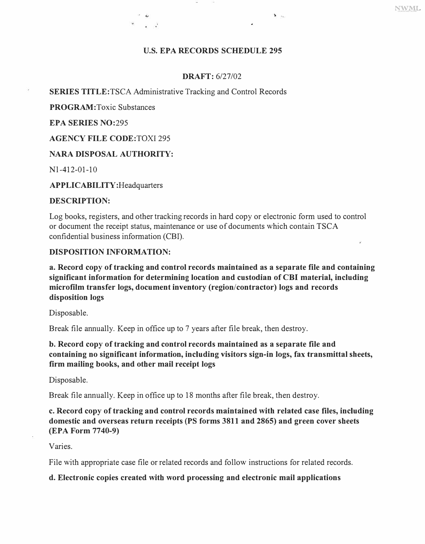#### **U.S. EPA RECORDS SCHEDULE 295**

 $\mathbf{v}$ 

#### **DRAFT:** 6/27/02

#### **SERIES TITLE:TSCA** Administrative Tracking and Control Records

**PROGRAM:Toxic** Substances

**EPA SERIES NO:295** 

**AGENCY FILE CODE:TOXI** 295

## **NARA DISPOSAL AUTHORITY:**

Nl-412-01-10

**APPLICABILITY** :Headquarters

#### **DESCRIPTION:**

Log books, registers, and other tracking records in hard copy or electronic form used to control or document the receipt status, maintenance or use of documents which contain TSCA confidential business information (CBI).

#### **DISPOSITION INFORMATION:**

**a. Record copy of tracking and control records maintained as a separate file and containing significant information for determining location and custodian of CBI material, including microfilm transfer logs, document inventory (region/contractor) logs and records disposition logs** 

Disposable.

Break file annually. Keep in office up to 7 years after file break, then destroy.

## **b. Record copy of tracking and control records maintained as a separate file and containing no significant information, including visitors sign-in logs, fax transmittal sheets, firm mailing books, and other mail receipt logs**

Disposable.

Break file annually. Keep in office up to 18 months after file break, then destroy.

# **c. Record copy of tracking and control records maintained with related case files, including domestic and overseas return receipts (PS forms 3811 and 2865) and green cover sheets (EPA Form 7740-9)**

Varies.

File with appropriate case file or related records and follow instructions for related records.

## **d. Electronic copies created with word processing and electronic mail applications**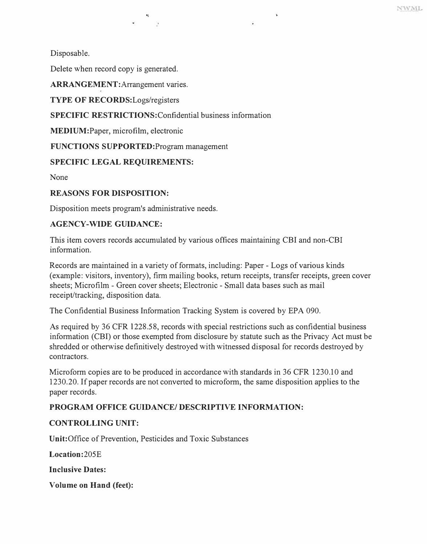Disposable.

Delete when record copy is generated.

**ARRANGEMENT:Arrangement** varies.

**TYPE OF** RECORDS:Logs/registers

**SPECIFIC RESTRICTIONS:Confidential** business information

•1

**MEDIUM:Paper,** microfilm, electronic

**FUNCTIONS SUPPORTED:Program** management

## **SPECIFIC LEGAL REQUIREMENTS:**

None

## **REASONS FOR DISPOSITION:**

Disposition meets program's administrative needs.

## **AGENCY-WIDE GUIDANCE:**

This item covers records accumulated by various offices maintaining CBI and non-CBI information.

Records are maintained in a variety of formats, including: Paper - Logs of various kinds (example: visitors, inventory), firm mailing books, return receipts, transfer receipts, green cover sheets; Microfilm - Green cover sheets; Electronic - Small data bases such as mail receipt/tracking, disposition data.

The Confidential Business Information Tracking System is covered by EPA 090.

As required by 36 CFR 1228.58, records with special restrictions such as confidential business information (CBI) or those exempted from disclosure by statute such as the Privacy Act must be shredded or otherwise definitively destroyed with witnessed disposal for records destroyed by contractors.

Microform copies are to be produced in accordance with standards in 36 CFR 1230.10 and 1230.20. If paper records are not converted to microform, the same disposition applies to the paper records.

# **PROGRAM OFFICE GUIDANCE/ DESCRIPTIVE INFORMATION:**

## **CONTROLLING UNIT:**

Unit:Office of Prevention, Pesticides and Toxic Substances

**Location**:205E

**Inclusive Dates:** 

**Volume on Hand (feet):**